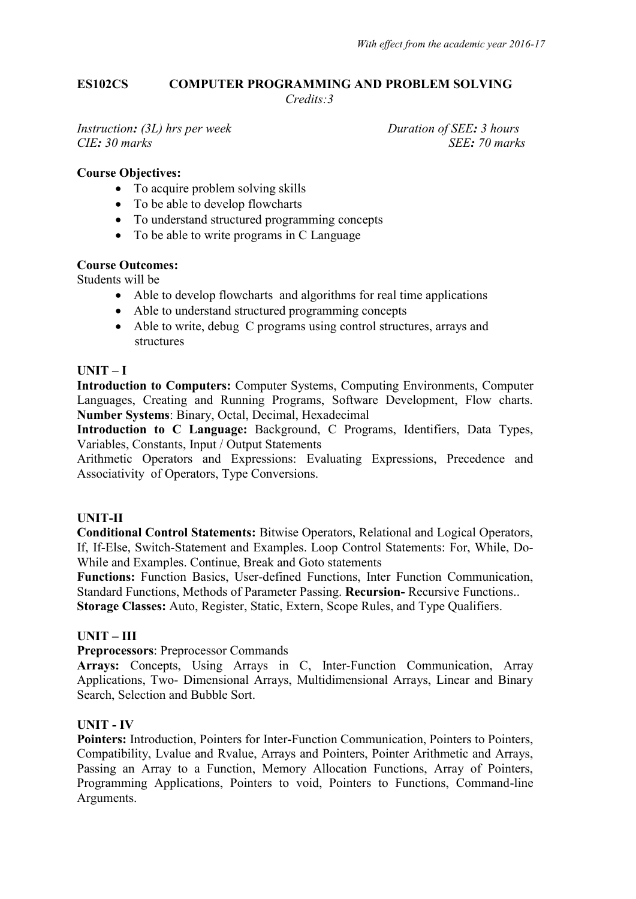#### **ES102CS COMPUTER PROGRAMMING AND PROBLEM SOLVING**   *Credits:3*

*Instruction:* (3L) hrs per week Duration of SEE: 3 hours *CIE: 30 marks SEE: 70 marks*

#### **Course Objectives:**

- To acquire problem solving skills
- To be able to develop flowcharts
- To understand structured programming concepts
- To be able to write programs in C Language

# **Course Outcomes:**

Students will be

- Able to develop flowcharts and algorithms for real time applications
- Able to understand structured programming concepts
- Able to write, debug C programs using control structures, arrays and structures

# $UNIT - I$

**Introduction to Computers:** Computer Systems, Computing Environments, Computer Languages, Creating and Running Programs, Software Development, Flow charts. **Number Systems**: Binary, Octal, Decimal, Hexadecimal

**Introduction to C Language:** Background, C Programs, Identifiers, Data Types, Variables, Constants, Input / Output Statements

Arithmetic Operators and Expressions: Evaluating Expressions, Precedence and Associativity of Operators, Type Conversions.

# **UNIT-II**

**Conditional Control Statements:** Bitwise Operators, Relational and Logical Operators, If, If-Else, Switch-Statement and Examples. Loop Control Statements: For, While, Do-While and Examples. Continue, Break and Goto statements

**Functions:** Function Basics, User-defined Functions, Inter Function Communication, Standard Functions, Methods of Parameter Passing. **Recursion-** Recursive Functions..

**Storage Classes:** Auto, Register, Static, Extern, Scope Rules, and Type Qualifiers.

# **UNIT – III**

**Preprocessors**: Preprocessor Commands

**Arrays:** Concepts, Using Arrays in C, Inter-Function Communication, Array Applications, Two- Dimensional Arrays, Multidimensional Arrays, Linear and Binary Search, Selection and Bubble Sort.

# **UNIT - IV**

Pointers: Introduction, Pointers for Inter-Function Communication, Pointers to Pointers, Compatibility, Lvalue and Rvalue, Arrays and Pointers, Pointer Arithmetic and Arrays, Passing an Array to a Function, Memory Allocation Functions, Array of Pointers, Programming Applications, Pointers to void, Pointers to Functions, Command-line Arguments.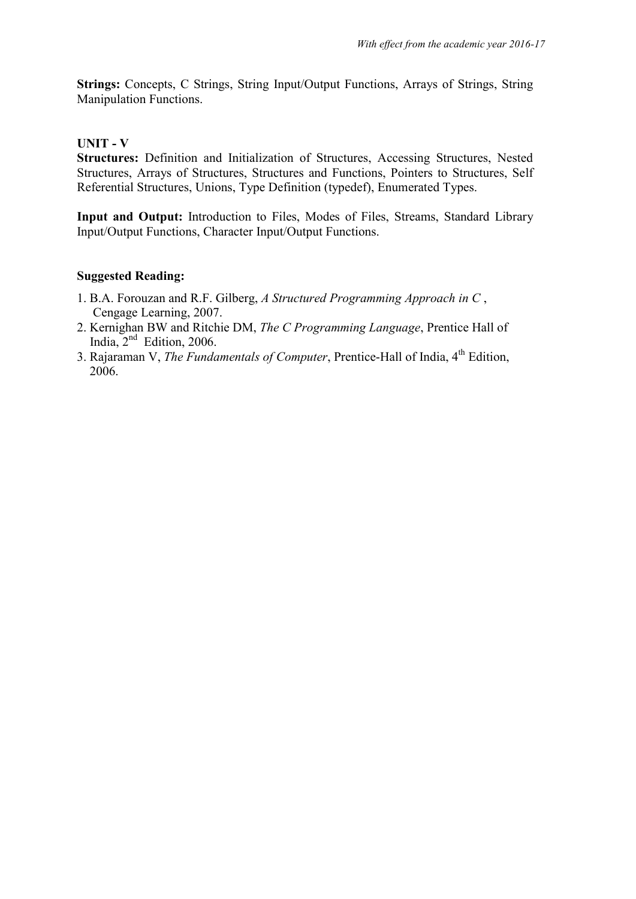**Strings:** Concepts, C Strings, String Input/Output Functions, Arrays of Strings, String Manipulation Functions.

#### **UNIT - V**

**Structures:** Definition and Initialization of Structures, Accessing Structures, Nested Structures, Arrays of Structures, Structures and Functions, Pointers to Structures, Self Referential Structures, Unions, Type Definition (typedef), Enumerated Types.

**Input and Output:** Introduction to Files, Modes of Files, Streams, Standard Library Input/Output Functions, Character Input/Output Functions.

#### **Suggested Reading:**

- 1. B.A. Forouzan and R.F. Gilberg, *A Structured Programming Approach in C* , Cengage Learning, 2007.
- 2. Kernighan BW and Ritchie DM, *The C Programming Language*, Prentice Hall of India,  $2<sup>nd</sup>$  Edition, 2006.
- 3. Rajaraman V, *The Fundamentals of Computer*, Prentice-Hall of India, 4<sup>th</sup> Edition, 2006.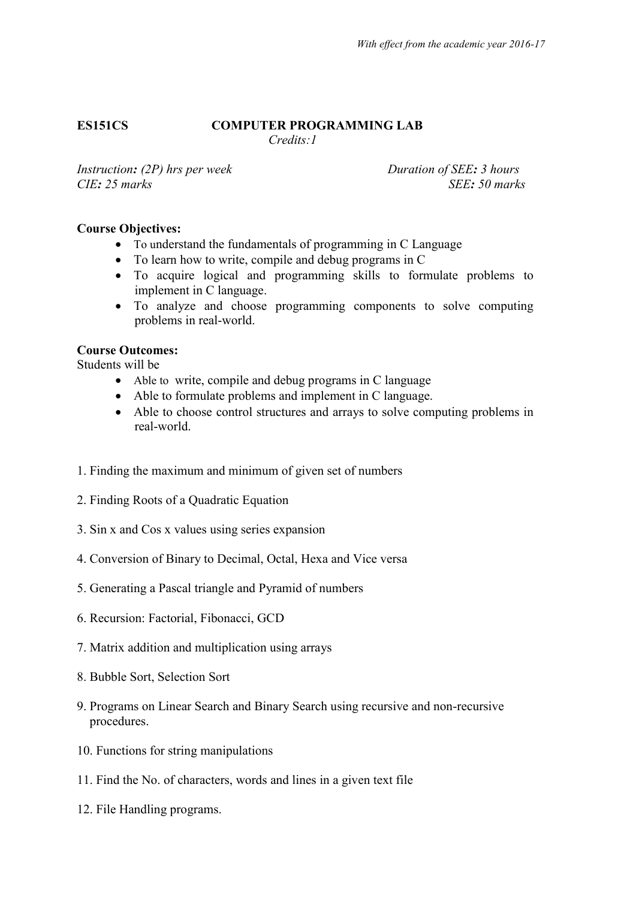# **ES151CS COMPUTER PROGRAMMING LAB**

*Credits:1*

*Instruction: (2P)* hrs per week Duration of SEE*: 3 hours CIE: 25 marks SEE: 50 marks*

# **Course Objectives:**

- To understand the fundamentals of programming in C Language
- To learn how to write, compile and debug programs in C
- To acquire logical and programming skills to formulate problems to implement in C language.
- To analyze and choose programming components to solve computing problems in real-world.

#### **Course Outcomes:**

Students will be

- Able to write, compile and debug programs in C language
- Able to formulate problems and implement in C language.
- Able to choose control structures and arrays to solve computing problems in real-world.
- 1. Finding the maximum and minimum of given set of numbers
- 2. Finding Roots of a Quadratic Equation
- 3. Sin x and Cos x values using series expansion
- 4. Conversion of Binary to Decimal, Octal, Hexa and Vice versa
- 5. Generating a Pascal triangle and Pyramid of numbers
- 6. Recursion: Factorial, Fibonacci, GCD
- 7. Matrix addition and multiplication using arrays
- 8. Bubble Sort, Selection Sort
- 9. Programs on Linear Search and Binary Search using recursive and non-recursive procedures.
- 10. Functions for string manipulations
- 11. Find the No. of characters, words and lines in a given text file
- 12. File Handling programs.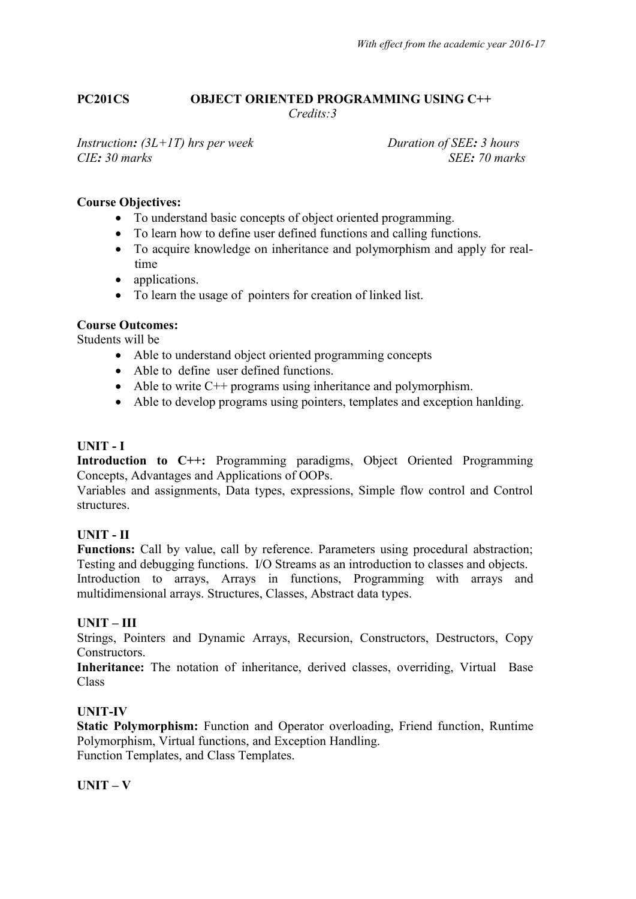#### **PC201CS OBJECT ORIENTED PROGRAMMING USING C++**  *Credits:3*

*Instruction: (3L+1T) hrs per week Duration of SEE: 3 hours CIE: 30 marks SEE: 70 marks*

# **Course Objectives:**

- To understand basic concepts of object oriented programming.
- To learn how to define user defined functions and calling functions.
- To acquire knowledge on inheritance and polymorphism and apply for realtime
- applications.
- To learn the usage of pointers for creation of linked list.

#### **Course Outcomes:**

Students will be

- Able to understand object oriented programming concepts
- Able to define user defined functions.
- $\bullet$  Able to write C++ programs using inheritance and polymorphism.
- Able to develop programs using pointers, templates and exception hanlding.

# **UNIT - I**

**Introduction to C++:** Programming paradigms, Object Oriented Programming Concepts, Advantages and Applications of OOPs.

Variables and assignments, Data types, expressions, Simple flow control and Control structures.

# **UNIT - II**

Functions: Call by value, call by reference. Parameters using procedural abstraction; Testing and debugging functions. I/O Streams as an introduction to classes and objects. Introduction to arrays, Arrays in functions, Programming with arrays and multidimensional arrays. Structures, Classes, Abstract data types.

#### **UNIT – III**

Strings, Pointers and Dynamic Arrays, Recursion, Constructors, Destructors, Copy **Constructors** 

**Inheritance:** The notation of inheritance, derived classes, overriding, Virtual Base Class

# **UNIT-IV**

**Static Polymorphism:** Function and Operator overloading, Friend function, Runtime Polymorphism, Virtual functions, and Exception Handling. Function Templates, and Class Templates.

#### $\mathbf{I} \mathbf{I} \mathbf{N} \mathbf{I} \mathbf{T} - \mathbf{V}$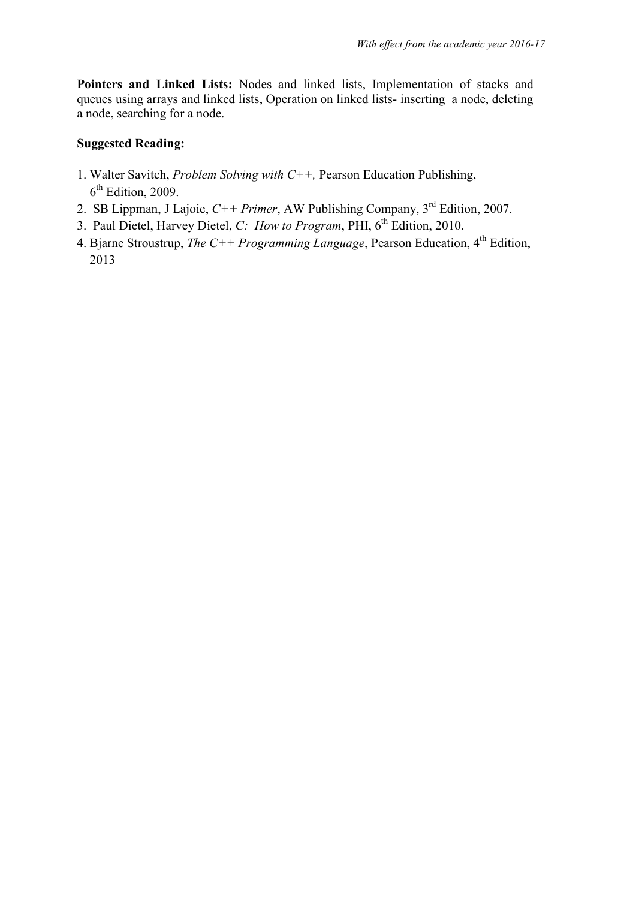**Pointers and Linked Lists:** Nodes and linked lists, Implementation of stacks and queues using arrays and linked lists, Operation on linked lists- inserting a node, deleting a node, searching for a node.

# **Suggested Reading:**

- 1. Walter Savitch, *Problem Solving with C++,* Pearson Education Publishing,  $6<sup>th</sup>$  Edition, 2009.
- 2. SB Lippman, J Lajoie,  $C_{++}$  *Primer*, AW Publishing Company,  $3<sup>rd</sup>$  Edition, 2007.
- 3. Paul Dietel, Harvey Dietel, *C: How to Program*, PHI, 6<sup>th</sup> Edition, 2010.
- 4. Bjarne Stroustrup, *The C++ Programming Language*, Pearson Education,  $4<sup>th</sup>$  Edition, 2013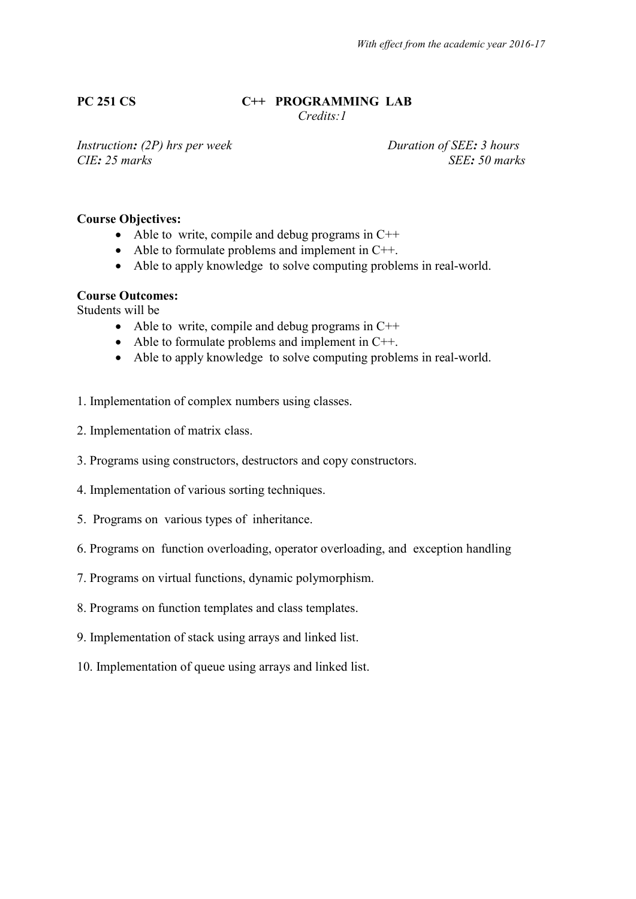# **PC 251 CS C++ PROGRAMMING LAB**

 *Credits:1* 

*Instruction:* (2P) hrs per week Duration of SEE*: 3 hours CIE: 25 marks SEE: 50 marks*

# **Course Objectives:**

- Able to write, compile and debug programs in  $C++$
- Able to formulate problems and implement in C++.
- Able to apply knowledge to solve computing problems in real-world.

#### **Course Outcomes:**

Students will be

- Able to write, compile and debug programs in  $C++$
- Able to formulate problems and implement in C++.
- Able to apply knowledge to solve computing problems in real-world.
- 1. Implementation of complex numbers using classes.
- 2. Implementation of matrix class.
- 3. Programs using constructors, destructors and copy constructors.
- 4. Implementation of various sorting techniques.
- 5. Programs on various types of inheritance.
- 6. Programs on function overloading, operator overloading, and exception handling
- 7. Programs on virtual functions, dynamic polymorphism.
- 8. Programs on function templates and class templates.
- 9. Implementation of stack using arrays and linked list.
- 10. Implementation of queue using arrays and linked list.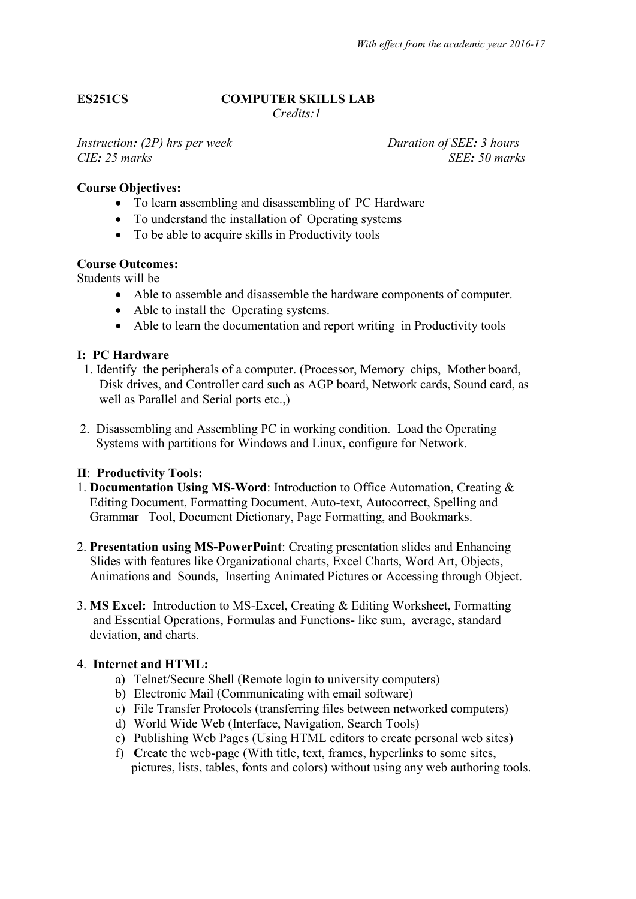# **ES251CS COMPUTER SKILLS LAB**

 *Credits:1* 

*Instruction:* (2P) hrs per week Duration of SEE: 3 hours *CIE: 25 marks SEE: 50 marks*

#### **Course Objectives:**

- To learn assembling and disassembling of PC Hardware
- To understand the installation of Operating systems
- To be able to acquire skills in Productivity tools

#### **Course Outcomes:**

Students will be

- Able to assemble and disassemble the hardware components of computer.
- Able to install the Operating systems.
- Able to learn the documentation and report writing in Productivity tools

#### **I: PC Hardware**

- 1. Identify the peripherals of a computer. (Processor, Memory chips, Mother board, Disk drives, and Controller card such as AGP board, Network cards, Sound card, as well as Parallel and Serial ports etc.,)
- 2. Disassembling and Assembling PC in working condition. Load the Operating Systems with partitions for Windows and Linux, configure for Network.

#### **II**: **Productivity Tools:**

- 1. **Documentation Using MS-Word**: Introduction to Office Automation, Creating & Editing Document, Formatting Document, Auto-text, Autocorrect, Spelling and Grammar Tool, Document Dictionary, Page Formatting, and Bookmarks.
- 2. **Presentation using MS-PowerPoint**: Creating presentation slides and Enhancing Slides with features like Organizational charts, Excel Charts, Word Art, Objects, Animations and Sounds, Inserting Animated Pictures or Accessing through Object.
- 3. **MS Excel:** Introduction to MS-Excel, Creating & Editing Worksheet, Formatting and Essential Operations, Formulas and Functions- like sum, average, standard deviation, and charts.

#### 4. **Internet and HTML:**

- a) Telnet/Secure Shell (Remote login to university computers)
- b) Electronic Mail (Communicating with email software)
- c) File Transfer Protocols (transferring files between networked computers)
- d) World Wide Web (Interface, Navigation, Search Tools)
- e) Publishing Web Pages (Using HTML editors to create personal web sites)
- f) **C**reate the web-page (With title, text, frames, hyperlinks to some sites, pictures, lists, tables, fonts and colors) without using any web authoring tools.